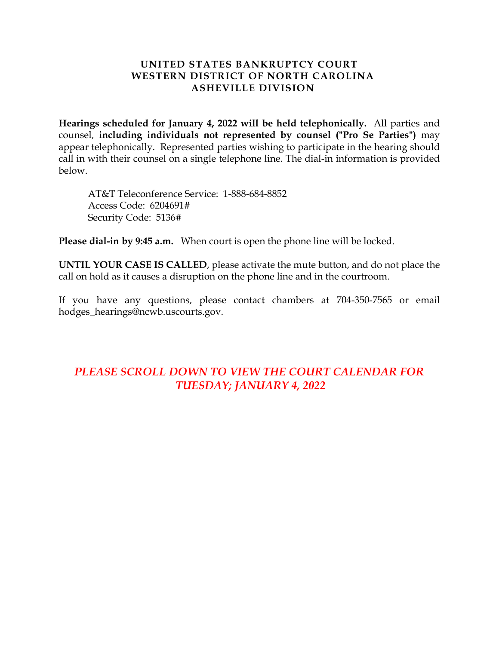## **UNITED STATES BANKRUPTCY COURT WESTERN DISTRICT OF NORTH CAROLINA ASHEVILLE DIVISION**

**Hearings scheduled for January 4, 2022 will be held telephonically.** All parties and counsel, **including individuals not represented by counsel ("Pro Se Parties")** may appear telephonically. Represented parties wishing to participate in the hearing should call in with their counsel on a single telephone line. The dial-in information is provided below.

AT&T Teleconference Service: 1-888-684-8852 Access Code: 6204691# Security Code: 5136#

**Please dial-in by 9:45 a.m.** When court is open the phone line will be locked.

**UNTIL YOUR CASE IS CALLED**, please activate the mute button, and do not place the call on hold as it causes a disruption on the phone line and in the courtroom.

If you have any questions, please contact chambers at 704-350-7565 or email hodges\_hearings@ncwb.uscourts.gov.

# *PLEASE SCROLL DOWN TO VIEW THE COURT CALENDAR FOR TUESDAY; JANUARY 4, 2022*